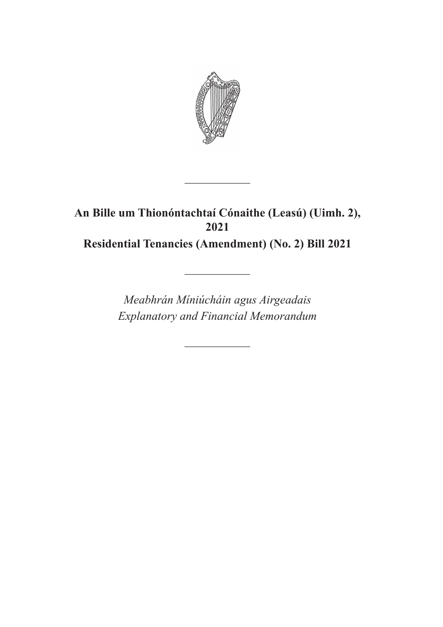

# **An Bille um Thionóntachtaí Cónaithe (Leasú) (Uimh. 2), 2021 Residential Tenancies (Amendment) (No. 2) Bill 2021**

 $\frac{1}{2}$ 

*Meabhrán Míniúcháin agus Airgeadais Explanatory and Financial Memorandum*

 $\overline{\phantom{a}}$ 

 $\frac{1}{2}$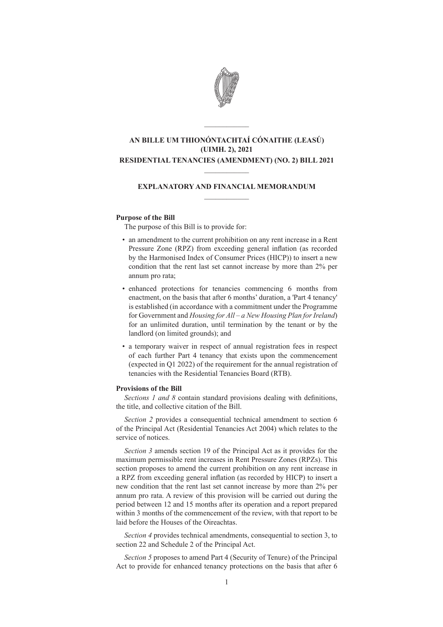

## **AN BILLE UM THIONÓNTACHTAÍ CÓNAITHE (LEASÚ) (UIMH. 2), 2021 RESIDENTIAL TENANCIES (AMENDMENT) (NO. 2) BILL 2021**

 $\mathcal{L}=\mathcal{L}$ 

### **EXPLANATORY AND FINANCIAL MEMORANDUM**  $\frac{1}{2}$

 $\mathcal{L}=\mathcal{L}$ 

#### **Purpose of the Bill**

The purpose of this Bill is to provide for:

- an amendment to the current prohibition on any rent increase in a Rent Pressure Zone (RPZ) from exceeding general inflation (as recorded by the Harmonised Index of Consumer Prices (HICP)) to insert a new condition that the rent last set cannot increase by more than 2% per annum pro rata;
- enhanced protections for tenancies commencing 6 months from enactment, on the basis that after 6 months' duration, a 'Part 4 tenancy' is established (in accordance with a commitment under the Programme for Government and *Housing for All – a New Housing Plan for Ireland*) for an unlimited duration, until termination by the tenant or by the landlord (on limited grounds); and
- a temporary waiver in respect of annual registration fees in respect of each further Part 4 tenancy that exists upon the commencement (expected in Q1 2022) of the requirement for the annual registration of tenancies with the Residential Tenancies Board (RTB).

#### **Provisions of the Bill**

*Sections 1 and 8* contain standard provisions dealing with definitions, the title, and collective citation of the Bill.

*Section 2* provides a consequential technical amendment to section 6 of the Principal Act (Residential Tenancies Act 2004) which relates to the service of notices.

*Section 3* amends section 19 of the Principal Act as it provides for the maximum permissible rent increases in Rent Pressure Zones (RPZs). This section proposes to amend the current prohibition on any rent increase in a RPZ from exceeding general inflation (as recorded by HICP) to insert a new condition that the rent last set cannot increase by more than 2% per annum pro rata. A review of this provision will be carried out during the period between 12 and 15 months after its operation and a report prepared within 3 months of the commencement of the review, with that report to be laid before the Houses of the Oireachtas.

*Section 4* provides technical amendments, consequential to section 3, to section 22 and Schedule 2 of the Principal Act.

*Section 5* proposes to amend Part 4 (Security of Tenure) of the Principal Act to provide for enhanced tenancy protections on the basis that after 6